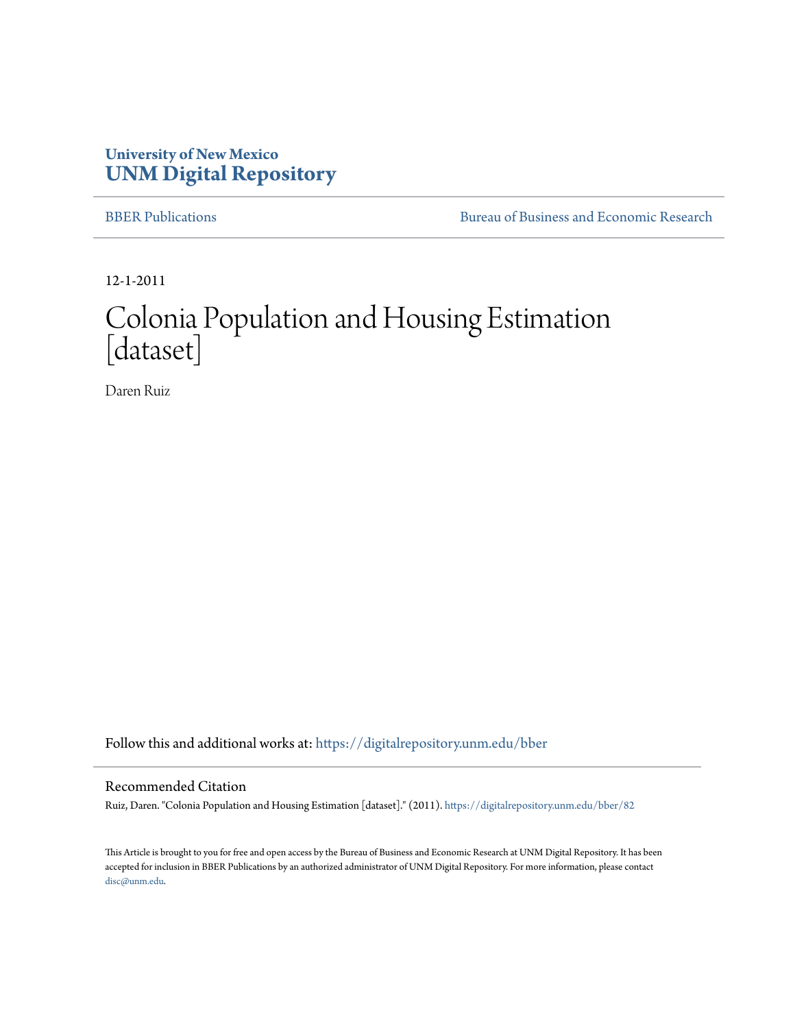### **University of New Mexico [UNM Digital Repository](https://digitalrepository.unm.edu?utm_source=digitalrepository.unm.edu%2Fbber%2F82&utm_medium=PDF&utm_campaign=PDFCoverPages)**

[BBER Publications](https://digitalrepository.unm.edu/bber?utm_source=digitalrepository.unm.edu%2Fbber%2F82&utm_medium=PDF&utm_campaign=PDFCoverPages) **BUREA** [Bureau of Business and Economic Research](https://digitalrepository.unm.edu/business_economic_research?utm_source=digitalrepository.unm.edu%2Fbber%2F82&utm_medium=PDF&utm_campaign=PDFCoverPages)

12-1-2011

## Colonia Population and Housing Estimation [dataset]

Daren Ruiz

Follow this and additional works at: [https://digitalrepository.unm.edu/bber](https://digitalrepository.unm.edu/bber?utm_source=digitalrepository.unm.edu%2Fbber%2F82&utm_medium=PDF&utm_campaign=PDFCoverPages)

#### Recommended Citation

Ruiz, Daren. "Colonia Population and Housing Estimation [dataset]." (2011). [https://digitalrepository.unm.edu/bber/82](https://digitalrepository.unm.edu/bber/82?utm_source=digitalrepository.unm.edu%2Fbber%2F82&utm_medium=PDF&utm_campaign=PDFCoverPages)

This Article is brought to you for free and open access by the Bureau of Business and Economic Research at UNM Digital Repository. It has been accepted for inclusion in BBER Publications by an authorized administrator of UNM Digital Repository. For more information, please contact [disc@unm.edu](mailto:disc@unm.edu).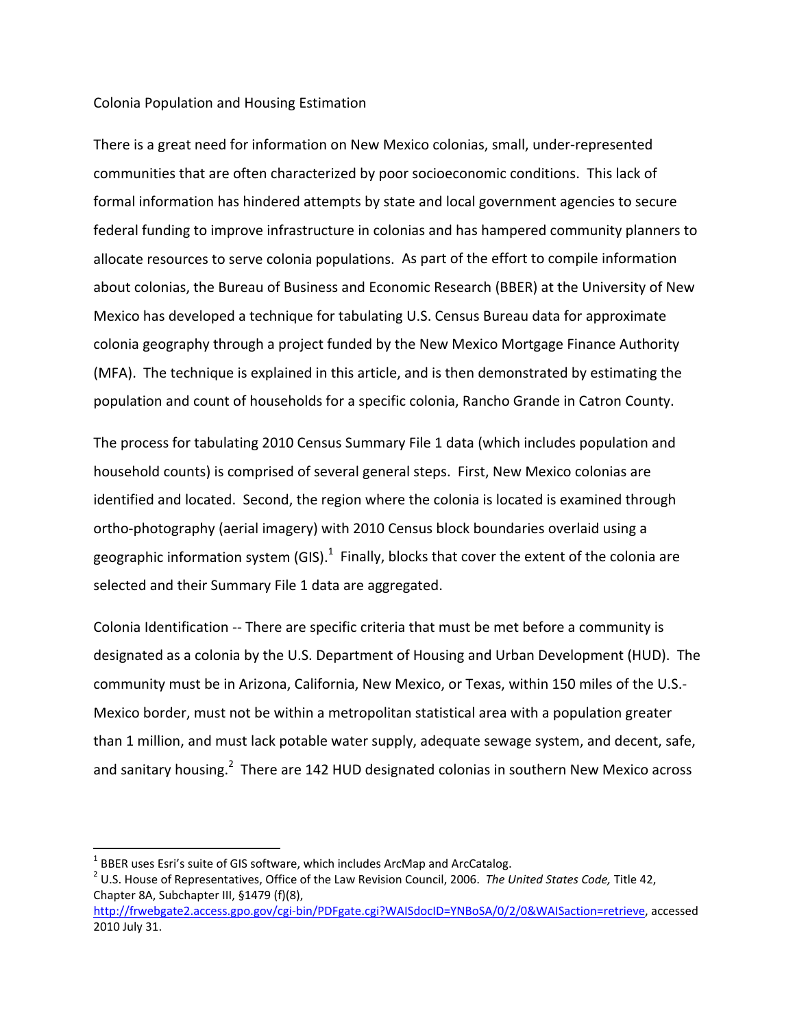#### Colonia Population and Housing Estimation

There is a great need for information on New Mexico colonias, small, under‐represented communities that are often characterized by poor socioeconomic conditions. This lack of formal information has hindered attempts by state and local government agencies to secure federal funding to improve infrastructure in colonias and has hampered community planners to allocate resources to serve colonia populations. As part of the effort to compile information about colonias, the Bureau of Business and Economic Research (BBER) at the University of New Mexico has developed a technique for tabulating U.S. Census Bureau data for approximate colonia geography through a project funded by the New Mexico Mortgage Finance Authority (MFA). The technique is explained in this article, and is then demonstrated by estimating the population and count of households for a specific colonia, Rancho Grande in Catron County.

The process for tabulating 2010 Census Summary File 1 data (which includes population and household counts) is comprised of several general steps. First, New Mexico colonias are identified and located. Second, the region where the colonia is located is examined through ortho‐photography (aerial imagery) with 2010 Census block boundaries overlaid using a geographic information system (GIS). $^1$  Finally, blocks that cover the extent of the colonia are selected and their Summary File 1 data are aggregated.

Colonia Identification ‐‐ There are specific criteria that must be met before a community is designated as a colonia by the U.S. Department of Housing and Urban Development (HUD). The community must be in Arizona, California, New Mexico, or Texas, within 150 miles of the U.S.‐ Mexico border, must not be within a metropolitan statistical area with a population greater than 1 million, and must lack potable water supply, adequate sewage system, and decent, safe, and sanitary housing.<sup>2</sup> There are 142 HUD designated colonias in southern New Mexico across

<sup>1</sup> BBER uses Esri's suite of GIS software, which includes ArcMap and ArcCatalog. <sup>2</sup> U.S. House of Representatives, Office of the Law Revision Council, 2006. *The United States Code,* Title 42, Chapter 8A, Subchapter III, §1479 (f)(8),

http://frwebgate2.access.gpo.gov/cgi‐bin/PDFgate.cgi?WAISdocID=YNBoSA/0/2/0&WAISaction=retrieve, accessed 2010 July 31.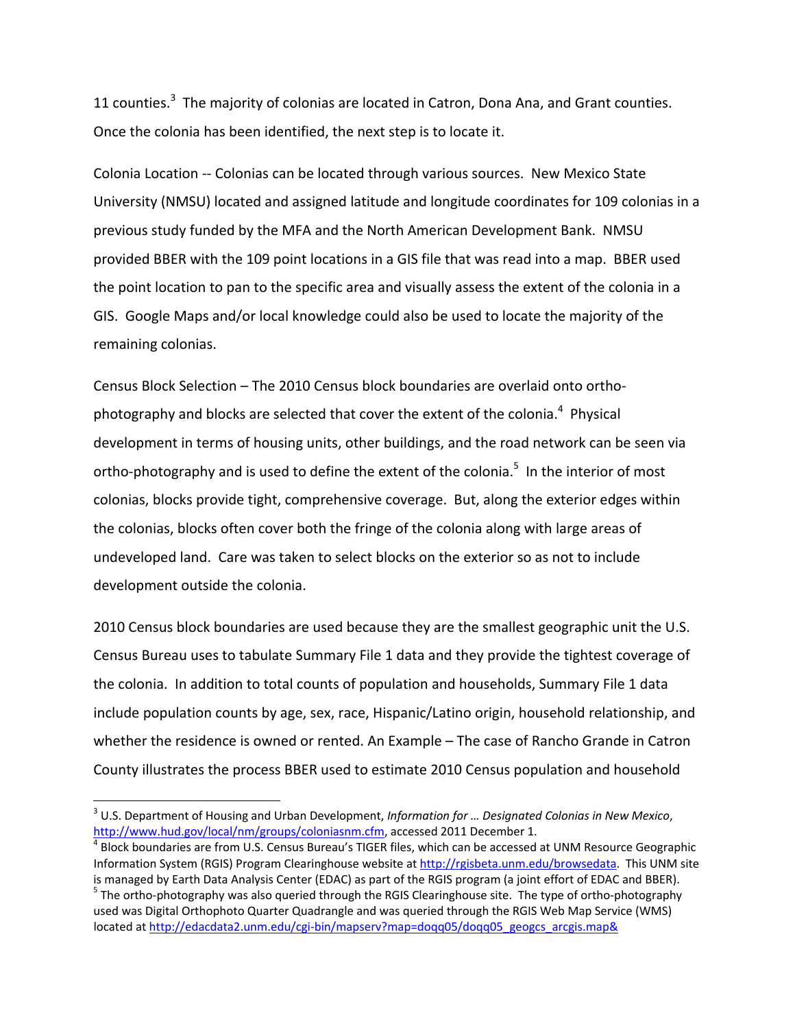11 counties.<sup>3</sup> The majority of colonias are located in Catron, Dona Ana, and Grant counties. Once the colonia has been identified, the next step is to locate it.

Colonia Location ‐‐ Colonias can be located through various sources. New Mexico State University (NMSU) located and assigned latitude and longitude coordinates for 109 colonias in a previous study funded by the MFA and the North American Development Bank. NMSU provided BBER with the 109 point locations in a GIS file that was read into a map. BBER used the point location to pan to the specific area and visually assess the extent of the colonia in a GIS. Google Maps and/or local knowledge could also be used to locate the majority of the remaining colonias.

Census Block Selection – The 2010 Census block boundaries are overlaid onto ortho‐ photography and blocks are selected that cover the extent of the colonia.<sup>4</sup> Physical development in terms of housing units, other buildings, and the road network can be seen via ortho-photography and is used to define the extent of the colonia.<sup>5</sup> In the interior of most colonias, blocks provide tight, comprehensive coverage. But, along the exterior edges within the colonias, blocks often cover both the fringe of the colonia along with large areas of undeveloped land. Care was taken to select blocks on the exterior so as not to include development outside the colonia.

2010 Census block boundaries are used because they are the smallest geographic unit the U.S. Census Bureau uses to tabulate Summary File 1 data and they provide the tightest coverage of the colonia. In addition to total counts of population and households, Summary File 1 data include population counts by age, sex, race, Hispanic/Latino origin, household relationship, and whether the residence is owned or rented. An Example – The case of Rancho Grande in Catron County illustrates the process BBER used to estimate 2010 Census population and household

<sup>3</sup> U.S. Department of Housing and Urban Development, *Information for … Designated Colonias in New Mexico*, http://www.hud.gov/local/nm/groups/coloniasnm.cfm, accessed 2011 December 1.<br><sup>4</sup> Block boundaries are from U.S. Census Bureau's TIGER files, which can be accessed at UNM Resource Geographic

Information System (RGIS) Program Clearinghouse website at http://rgisbeta.unm.edu/browsedata. This UNM site

is managed by Earth Data Analysis Center (EDAC) as part of the RGIS program (a joint effort of EDAC and BBER).<br><sup>5</sup> The ortho-photography was also queried through the RGIS Clearinghouse site. The type of ortho-photography used was Digital Orthophoto Quarter Quadrangle and was queried through the RGIS Web Map Service (WMS) located at http://edacdata2.unm.edu/cgi-bin/mapserv?map=doqq05/doqq05\_geogcs\_arcgis.map&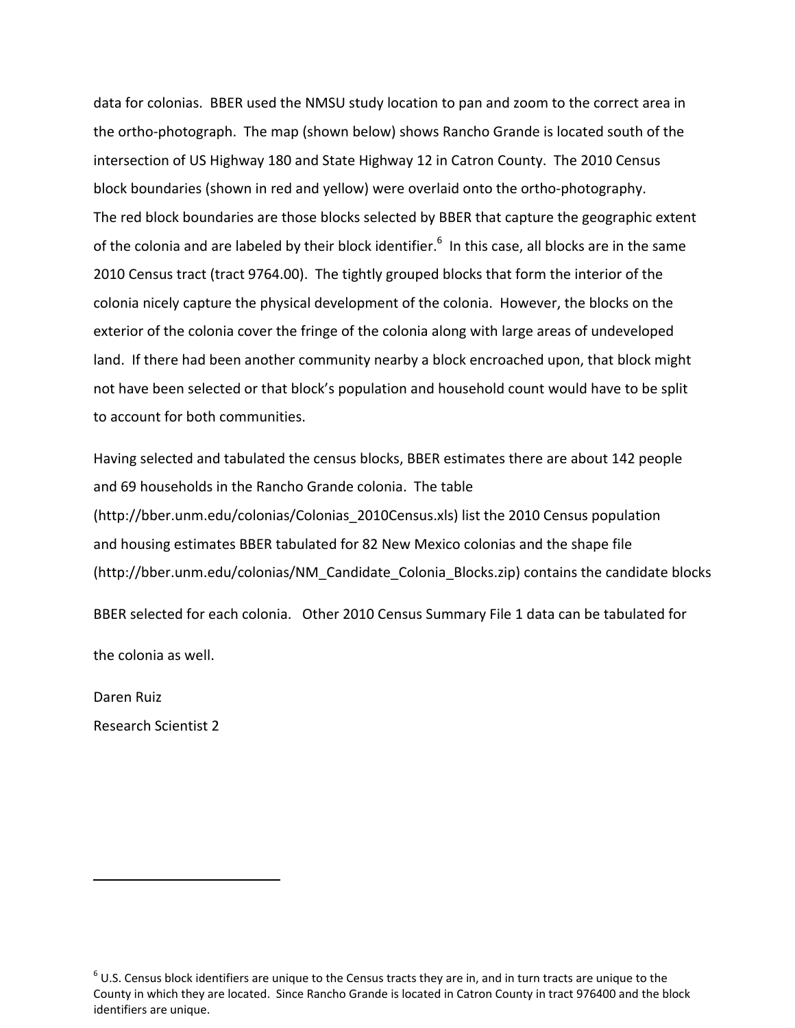data for colonias. BBER used the NMSU study location to pan and zoom to the correct area in the ortho‐photograph. The map (shown below) shows Rancho Grande is located south of the intersection of US Highway 180 and State Highway 12 in Catron County. The 2010 Census block boundaries (shown in red and yellow) were overlaid onto the ortho‐photography. The red block boundaries are those blocks selected by BBER that capture the geographic extent of the colonia and are labeled by their block identifier.<sup>6</sup> In this case, all blocks are in the same 2010 Census tract (tract 9764.00). The tightly grouped blocks that form the interior of the colonia nicely capture the physical development of the colonia. However, the blocks on the exterior of the colonia cover the fringe of the colonia along with large areas of undeveloped land. If there had been another community nearby a block encroached upon, that block might not have been selected or that block's population and household count would have to be split to account for both communities.

Having selected and tabulated the census blocks, BBER estimates there are about 142 people and 69 households in the Rancho Grande colonia. The table (http://bber.unm.edu/colonias/Colonias\_2010Census.xls) list the 2010 Census population and housing estimates BBER tabulated for 82 New Mexico colonias and the shape file (http://bber.unm.edu/colonias/NM\_Candidate\_Colonia\_Blocks.zip) contains the candidate blocks

BBER selected for each colonia. Other 2010 Census Summary File 1 data can be tabulated for

the colonia as well.

Daren Ruiz

Research Scientist 2

 $6$  U.S. Census block identifiers are unique to the Census tracts they are in, and in turn tracts are unique to the County in which they are located. Since Rancho Grande is located in Catron County in tract 976400 and the block identifiers are unique.